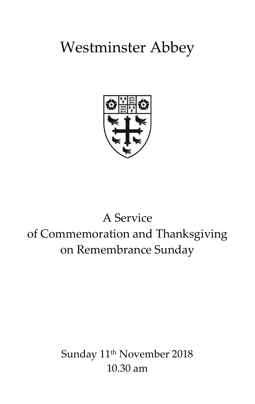# Westminster Abbey



# A Service of Commemoration and Thanksgiving on Remembrance Sunday

Sunday 11<sup>th</sup> November 2018 10.30 am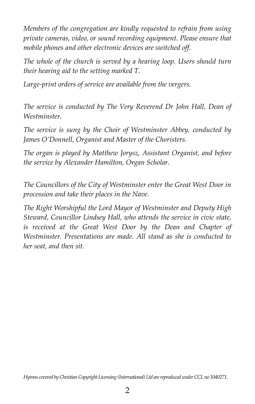*Members of the congregation are kindly requested to refrain from using private cameras, video, or sound recording equipment. Please ensure that mobile phones and other electronic devices are switched off.*

*The whole of the church is served by a hearing loop. Users should turn their hearing aid to the setting marked T.*

*Large-print orders of service are available from the vergers.*

*The service is conducted by The Very Reverend Dr John Hall, Dean of Westminster.*

*The service is sung by the Choir of Westminster Abbey, conducted by James O'Donnell, Organist and Master of the Choristers.* 

*The organ is played by Matthew Jorysz, Assistant Organist, and before the service by Alexander Hamilton, Organ Scholar.*

*The Councillors of the City of Westminster enter the Great West Door in procession and take their places in the Nave.*

*The Right Worshipful the Lord Mayor of Westminster and Deputy High Steward, Councillor Lindsey Hall, who attends the service in civic state, is received at the Great West Door by the Dean and Chapter of Westminster. Presentations are made. All stand as she is conducted to her seat, and then sit.*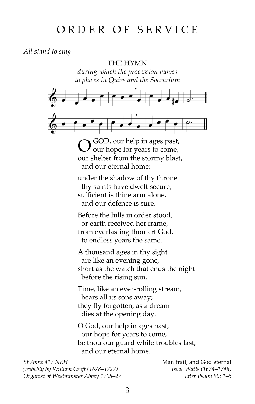# ORDER OF SERVICE

*All stand to sing*

THE HYMN

*during which the procession moves to places in Quire and the Sacrarium*



 $\bigcirc$  GOD, our help in ages past, our shelter from the stormy blast, and our eternal home;

under the shadow of thy throne thy saints have dwelt secure; sufficient is thine arm alone, and our defence is sure.

Before the hills in order stood, or earth received her frame, from everlasting thou art God, to endless years the same.

A thousand ages in thy sight are like an evening gone, short as the watch that ends the night before the rising sun.

Time, like an ever-rolling stream, bears all its sons away; they fly forgotten, as a dream dies at the opening day.

O God, our help in ages past, our hope for years to come, be thou our guard while troubles last, and our eternal home.

*St Anne* 417 NEH **Man frail, and God eternal** *probably by William Croft (1678–1727) Isaac Watts (1674–1748) Organist of Westminster Abbey 1708–27 after Psalm 90: 1–5*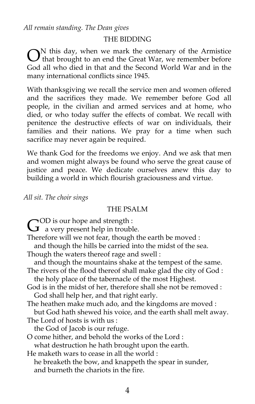*All remain standing. The Dean gives*

#### THE BIDDING

 $\bigodot^N$  this day, when we mark the centenary of the Armistice<br>  $\bigodot^N$  that brought to an end the Great War, we remember before **t** that brought to an end the Great War, we remember before God all who died in that and the Second World War and in the many international conflicts since 1945.

With thanksgiving we recall the service men and women offered and the sacrifices they made. We remember before God all people, in the civilian and armed services and at home, who died, or who today suffer the effects of combat. We recall with penitence the destructive effects of war on individuals, their families and their nations. We pray for a time when such sacrifice may never again be required.

We thank God for the freedoms we enjoy. And we ask that men and women might always be found who serve the great cause of justice and peace. We dedicate ourselves anew this day to building a world in which flourish graciousness and virtue.

*All sit. The choir sings*

#### THE PSALM

OD is our hope and strength :

 $G^{\text{OD}}$  is our hope and strength :<br>a very present help in trouble.

Therefore will we not fear, though the earth be moved :

and though the hills be carried into the midst of the sea.

Though the waters thereof rage and swell :

and though the mountains shake at the tempest of the same.

- The rivers of the flood thereof shall make glad the city of God : the holy place of the tabernacle of the most Highest.
- God is in the midst of her, therefore shall she not be removed : God shall help her, and that right early.
- The heathen make much ado, and the kingdoms are moved :

 but God hath shewed his voice, and the earth shall melt away. The Lord of hosts is with us :

the God of Jacob is our refuge.

O come hither, and behold the works of the Lord :

what destruction he hath brought upon the earth.

He maketh wars to cease in all the world :

 he breaketh the bow, and knappeth the spear in sunder, and burneth the chariots in the fire.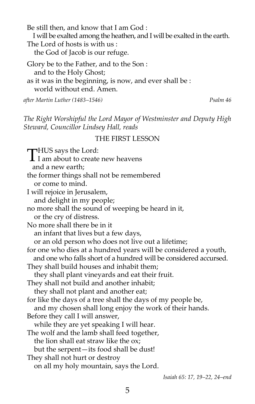Be still then, and know that I am God : I will be exalted among the heathen, and I will be exalted in the earth. The Lord of hosts is with us  $\cdot$  the God of Jacob is our refuge. Glory be to the Father, and to the Son :

 and to the Holy Ghost; as it was in the beginning, is now, and ever shall be : world without end. Amen.

*after Martin Luther (1483–1546) Psalm 46*

*The Right Worshipful the Lord Mayor of Westminster and Deputy High Steward, Councillor Lindsey Hall, reads*

#### THE FIRST LESSON

**THUS** says the Lord: THUS says the Lord:<br>I am about to create new heavens and a new earth; the former things shall not be remembered or come to mind. I will rejoice in Jerusalem, and delight in my people; no more shall the sound of weeping be heard in it, or the cry of distress. No more shall there be in it an infant that lives but a few days, or an old person who does not live out a lifetime; for one who dies at a hundred years will be considered a youth, and one who falls short of a hundred will be considered accursed. They shall build houses and inhabit them; they shall plant vineyards and eat their fruit. They shall not build and another inhabit; they shall not plant and another eat; for like the days of a tree shall the days of my people be, and my chosen shall long enjoy the work of their hands. Before they call I will answer, while they are yet speaking I will hear. The wolf and the lamb shall feed together, the lion shall eat straw like the ox; but the serpent—its food shall be dust! They shall not hurt or destroy on all my holy mountain, says the Lord.

*Isaiah 65: 17, 19–22, 24–end*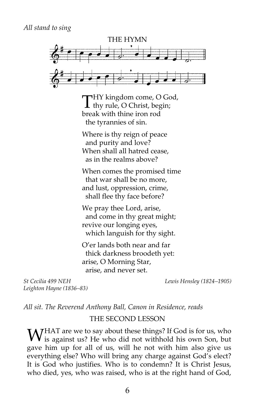

THY kingdom come, O God, THY kingdom come, O Go<br>thy rule, O Christ, begin; break with thine iron rod the tyrannies of sin.

Where is thy reign of peace and purity and love? When shall all hatred cease, as in the realms above?

When comes the promised time that war shall be no more, and lust, oppression, crime, shall flee thy face before?

We pray thee Lord, arise, and come in thy great might; revive our longing eyes, which languish for thy sight.

O'er lands both near and far thick darkness broodeth yet: arise, O Morning Star, arise, and never set.

*Leighton Hayne (1836–83)*

*St Cecilia 499 NEH Lewis Hensley (1824–1905)*

*All sit. The Reverend Anthony Ball, Canon in Residence, reads*

#### THE SECOND LESSON

WHAT are we to say about these things? If God is for us, who is against us? He who did not withhold his own Son, but I is against us? He who did not withhold his own Son, but gave him up for all of us, will he not with him also give us everything else? Who will bring any charge against God's elect? It is God who justifies. Who is to condemn? It is Christ Jesus, who died, yes, who was raised, who is at the right hand of God,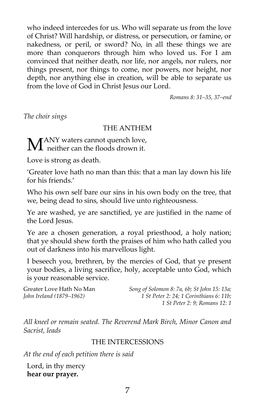who indeed intercedes for us. Who will separate us from the love of Christ? Will hardship, or distress, or persecution, or famine, or nakedness, or peril, or sword? No, in all these things we are more than conquerors through him who loved us. For I am convinced that neither death, nor life, nor angels, nor rulers, nor things present, nor things to come, nor powers, nor height, nor depth, nor anything else in creation, will be able to separate us from the love of God in Christ Jesus our Lord.

*Romans 8: 31–35, 37–end*

*The choir sings*

# THE ANTHEM

**ANY** waters cannot quench love,  $\mathbf{M}^{\text{ANY}}$  waters cannot quench love<br>ther can the floods drown it.

Love is strong as death.

'Greater love hath no man than this: that a man lay down his life for his friends.'

Who his own self bare our sins in his own body on the tree, that we, being dead to sins, should live unto righteousness.

Ye are washed, ye are sanctified, ye are justified in the name of the Lord Jesus.

Ye are a chosen generation, a royal priesthood, a holy nation; that ye should shew forth the praises of him who hath called you out of darkness into his marvellous light.

I beseech you, brethren, by the mercies of God, that ye present your bodies, a living sacrifice, holy, acceptable unto God, which is your reasonable service.

Greater Love Hath No Man *Song of Solomon 8: 7a, 6b; St John 15: 13a; John Ireland (1879–1962) 1 St Peter 2: 24; 1 Corinthians 6: 11b; 1 St Peter 2: 9; Romans 12: 1*

*All kneel or remain seated. The Reverend Mark Birch, Minor Canon and Sacrist, leads*

#### THE INTERCESSIONS

*At the end of each petition there is said*

Lord, in thy mercy **hear our prayer.**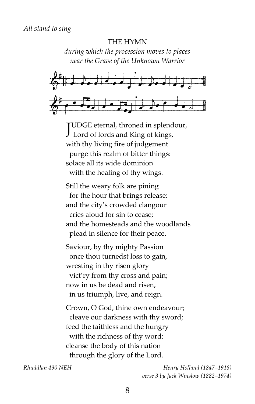#### THE HYMN

*during which the procession moves to places near the Grave of the Unknown Warrior*



UDGE eternal, throned in splendour,  ${\displaystyle {\rm J}^{\rm UDGE\,eternal_{}}\rm}$  throned in splend<br>Lord of lords and King of kings, with thy living fire of judgement purge this realm of bitter things: solace all its wide dominion with the healing of thy wings.

Still the weary folk are pining for the hour that brings release: and the city's crowded clangour cries aloud for sin to cease; and the homesteads and the woodlands plead in silence for their peace.

Saviour, by thy mighty Passion once thou turnedst loss to gain, wresting in thy risen glory vict'ry from thy cross and pain; now in us be dead and risen, in us triumph, live, and reign.

Crown, O God, thine own endeavour; cleave our darkness with thy sword; feed the faithless and the hungry with the richness of thy word: cleanse the body of this nation through the glory of the Lord.

*Rhuddlan 490 NEH Henry Holland (1847–1918) verse 3 by Jack Winslow (1882–1974)*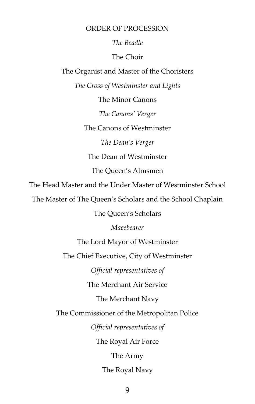#### ORDER OF PROCESSION

# *The Beadle*

# The Choir

The Organist and Master of the Choristers

*The Cross of Westminster and Lights*

The Minor Canons

*The Canons' Verger*

The Canons of Westminster

*The Dean's Verger*

The Dean of Westminster

The Queen's Almsmen

The Head Master and the Under Master of Westminster School

The Master of The Queen's Scholars and the School Chaplain

The Queen's Scholars

*Macebearer*

The Lord Mayor of Westminster

The Chief Executive, City of Westminster

*Official representatives of*

The Merchant Air Service

The Merchant Navy

The Commissioner of the Metropolitan Police

*Official representatives of*

The Royal Air Force

The Army

The Royal Navy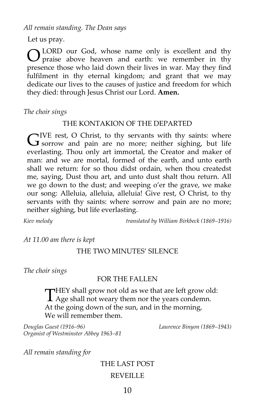*All remain standing. The Dean says*

Let us pray.

LORD our God, whose name only is excellent and thy praise above heaven and earth: we remember in thy presence those who laid down their lives in war. May they find fulfilment in thy eternal kingdom; and grant that we may dedicate our lives to the causes of justice and freedom for which they died: through Jesus Christ our Lord. **Amen.** O

*The choir sings*

# THE KONTAKION OF THE DEPARTED

 $\neg$ IVE rest, O Christ, to thy servants with thy saints: where  $G^{\text{IVE rest}}$ , O Christ, to thy servants with thy saints: where so sorrow and pain are no more; neither sighing, but life everlasting. Thou only art immortal, the Creator and maker of man: and we are mortal, formed of the earth, and unto earth shall we return: for so thou didst ordain, when thou createdst me, saying, Dust thou art, and unto dust shalt thou return. All we go down to the dust; and weeping o'er the grave, we make our song: Alleluia, alleluia, alleluia! Give rest, O Christ, to thy servants with thy saints: where sorrow and pain are no more; neither sighing, but life everlasting.

*Kiev melody translated by William Birkbeck (1869–1916)*

*At 11.00 am there is kept*

# THE TWO MINUTES' SILENCE

*The choir sings*

# FOR THE FALLEN

 $\neg$ HEY shall grow not old as we that are left grow old: THEY shall grow not old as we that are left grow of<br>Age shall not weary them nor the years condemn. At the going down of the sun, and in the morning, We will remember them.

*Douglas Guest (1916–96) Laurence Binyon (1869–1943) Organist of Westminster Abbey 1963–81*

*All remain standing for*

# THE LAST POST REVEILLE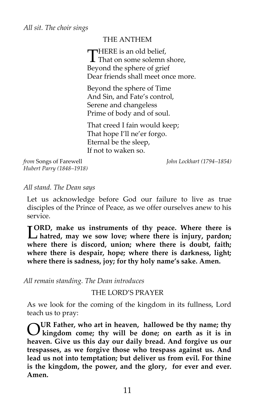# THE ANTHEM

**THERE** is an old belief. THERE is an old belief,<br>That on some solemn shore,<br>Bergend the subset of suite Beyond the sphere of grief Dear friends shall meet once more.

Beyond the sphere of Time And Sin, and Fate's control, Serene and changeless Prime of body and of soul.

That creed I fain would keep; That hope I'll ne'er forgo. Eternal be the sleep, If not to waken so.

*from* Songs of Farewell *John Lockhart (1794–1854) Hubert Parry (1848–1918)*

*All stand. The Dean says*

Let us acknowledge before God our failure to live as true disciples of the Prince of Peace, as we offer ourselves anew to his service.

**ORD, make us instruments of thy peace. Where there is hatred, may we sow love; where there is injury, pardon;**<br> **hatred, may we sow love; where there is injury, pardon; where there is discord, union; where there is doubt, faith; where there is despair, hope; where there is darkness, light; where there is sadness, joy; for thy holy name's sake. Amen.**

*All remain standing. The Dean introduces*

#### THE LORD'S PRAYER

As we look for the coming of the kingdom in its fullness, Lord teach us to pray:

**UR Father, who art in heaven, hallowed be thy name; thy kingdom come; thy will be done; on earth as it is in heaven. Give us this day our daily bread. And forgive us our trespasses, as we forgive those who trespass against us. And lead us not into temptation; but deliver us from evil. For thine is the kingdom, the power, and the glory, for ever and ever. Amen.** O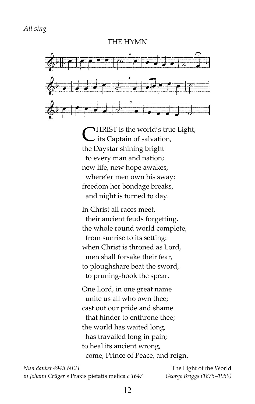#### THE HYMN



HRIST is the world's true Light, **CHRIST** is the world's true its Captain of salvation, the Daystar shining bright to every man and nation; new life, new hope awakes, where'er men own his sway: freedom her bondage breaks, and night is turned to day.

In Christ all races meet, their ancient feuds forgetting, the whole round world complete, from sunrise to its setting: when Christ is throned as Lord, men shall forsake their fear, to ploughshare beat the sword, to pruning-hook the spear.

One Lord, in one great name unite us all who own thee; cast out our pride and shame that hinder to enthrone thee; the world has waited long, has travailed long in pain; to heal its ancient wrong, come, Prince of Peace, and reign.

*Nun danket 494ii NEH* The Light of the World *in Johann Crüger's* Praxis pietatis melica *c 1647 George Briggs (1875–1959)*